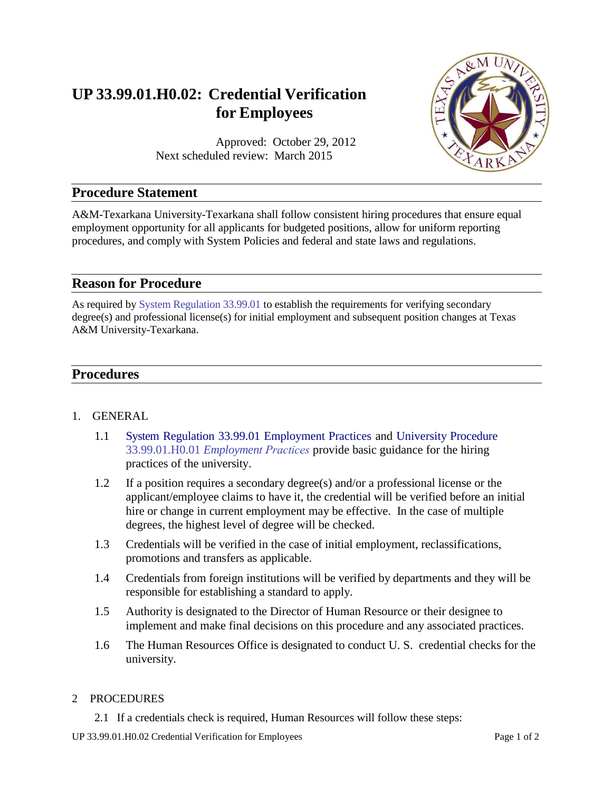# **UP 33.99.01.H0.02: Credential Verification for Employees**

Approved: October 29, 2012 Next scheduled review: March 2015



# **Procedure Statement**

A&M-Texarkana University-Texarkana shall follow consistent hiring procedures that ensure equal employment opportunity for all applicants for budgeted positions, allow for uniform reporting procedures, and comply with System Policies and federal and state laws and regulations.

## **Reason for Procedure**

As required by System [Regulation](http://policies.tamus.edu/33-99-01.pdf) 33.99.01 to establish the requirements for verifying secondary degree(s) and professional license(s) for initial employment and subsequent position changes at Texas A&M University-Texarkana.

# **Procedures**

#### 1. GENERAL

- 1.1 System Regulation [33.99.01 Employment](http://policies.tamus.edu/33-99-01.pdf) Practices and [University Procedure](https://tamut.edu/About/Administration/About/Rules/33-99-01-H0-01.pdf) 33.99.01.H0.01 *[Employmen](https://tamut.edu/About/Administration/About/Rules/33-99-01-H0-01.pdf)t Practices* provide basic guidance for the hiring practices of the university.
- 1.2 If a position requires a secondary degree(s) and/or a professional license or the applicant/employee claims to have it, the credential will be verified before an initial hire or change in current employment may be effective. In the case of multiple degrees, the highest level of degree will be checked.
- 1.3 Credentials will be verified in the case of initial employment, reclassifications, promotions and transfers as applicable.
- 1.4 Credentials from foreign institutions will be verified by departments and they will be responsible for establishing a standard to apply.
- 1.5 Authority is designated to the Director of Human Resource or their designee to implement and make final decisions on this procedure and any associated practices.
- 1.6 The Human Resources Office is designated to conduct U. S. credential checks for the university.

#### 2 PROCEDURES

2.1 If a credentials check is required, Human Resources will follow these steps: